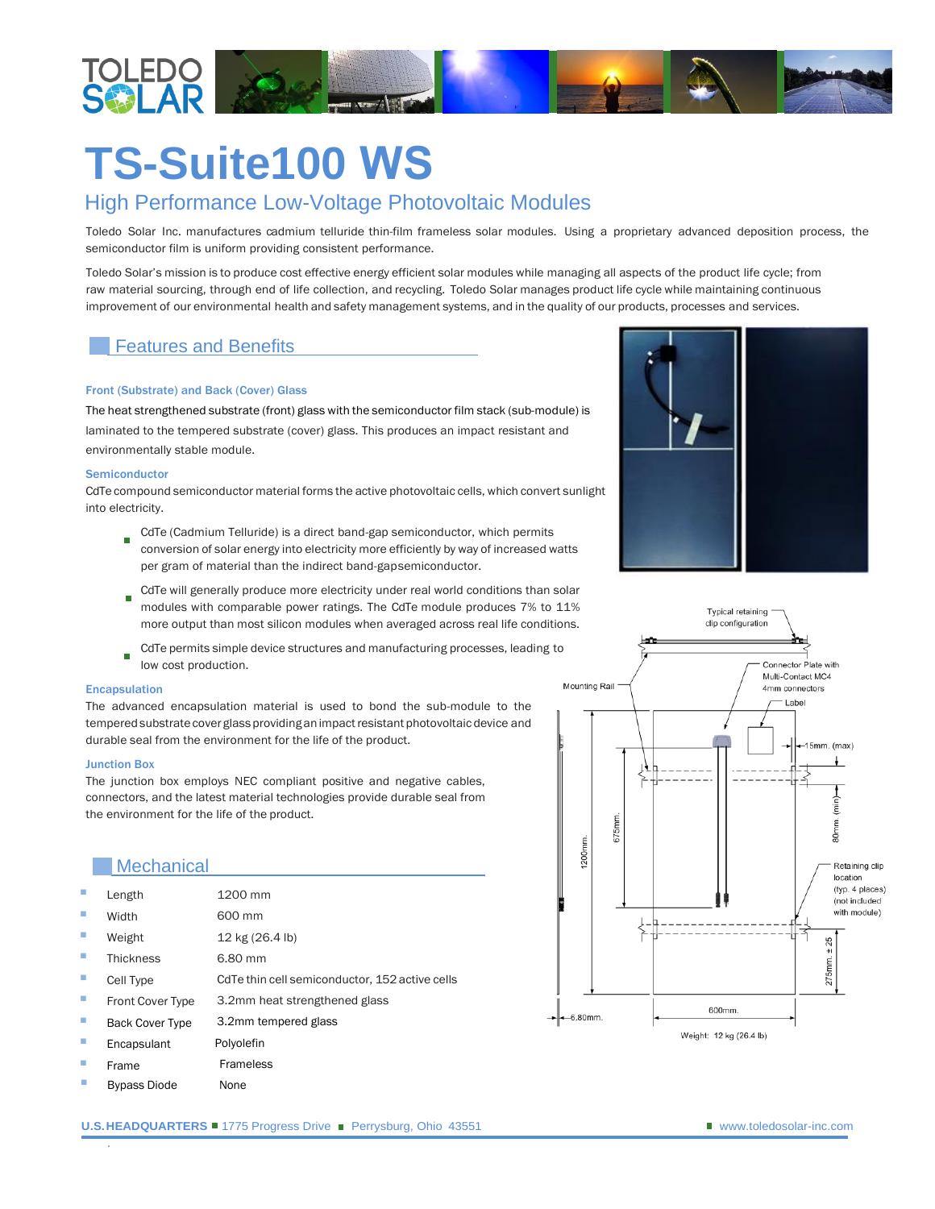

# **TS-Suite100 WS**

## High Performance Low-Voltage Photovoltaic Modules

Toledo Solar Inc. manufactures cadmium telluride thin-film frameless solar modules. Using a proprietary advanced deposition process, the semiconductor film is uniform providing consistent performance.

Toledo Solar's mission is to produce cost effective energy efficient solar modules while managing all aspects of the product life cycle; from raw material sourcing, through end of life collection, and recycling. Toledo Solar manages product life cycle while maintaining continuous improvement of our environmental health and safety management systems, and in the quality of our products, processes and services.

## Features and Benefits

#### Front (Substrate) and Back (Cover) Glass

The heat strengthened substrate (front) glass with the semiconductor film stack (sub-module) is laminated to the tempered substrate (cover) glass. This produces an impact resistant and environmentally stable module.

#### Semiconductor

CdTe compound semiconductor material forms the active photovoltaic cells, which convert sunlight into electricity.

- CdTe (Cadmium Telluride) is a direct band-gap semiconductor, which permits conversion of solar energy into electricity more efficiently by way of increased watts per gram of material than the indirect band-gapsemiconductor.
- CdTe will generally produce more electricity under real world conditions than solar m, modules with comparable power ratings. The CdTe module produces 7% to 11% more output than most silicon modules when averaged across real life conditions.
- CdTe permits simple device structures and manufacturing processes, leading to low cost production.

#### Encapsulation

The advanced encapsulation material is used to bond the sub-module to the tempered substrate cover glass providing an impact resistant photovoltaic device and durable seal from the environment for the life of the product.

#### Junction Box

.

The junction box employs NEC compliant positive and negative cables, connectors, and the latest material technologies provide durable seal from the environment for the life of the product.

### **Mechanical**

| п                           | Length                  | 1200 mm                                        |
|-----------------------------|-------------------------|------------------------------------------------|
| $\mathcal{L}_{\mathcal{A}}$ | Width                   | 600 mm                                         |
| m,                          | Weight                  | 12 kg (26.4 lb)                                |
| m,                          | <b>Thickness</b>        | 6.80 mm                                        |
| $\mathcal{L}_{\mathcal{A}}$ | Cell Type               | CdTe thin cell semiconductor, 152 active cells |
| $\mathcal{L}_{\mathcal{A}}$ | <b>Front Cover Type</b> | 3.2mm heat strengthened glass                  |
| $\mathcal{L}_{\mathcal{A}}$ | <b>Back Cover Type</b>  | 3.2mm tempered glass                           |
| $\mathcal{L}_{\mathcal{A}}$ | Encapsulant             | Polyolefin                                     |
| ш                           | Frame                   | <b>Frameless</b>                               |
| ×                           | <b>Bypass Diode</b>     | None                                           |